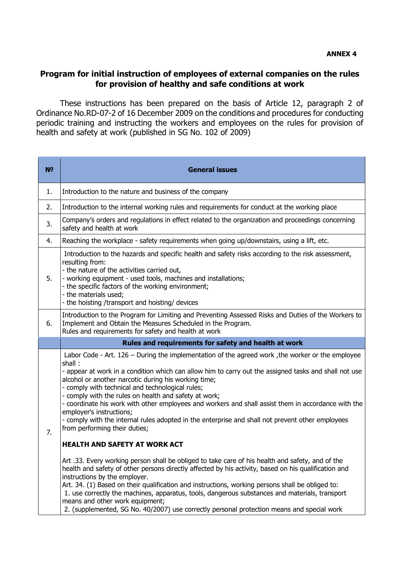## **Program for initial instruction of employees of external companies on the rules for provision of healthy and safe conditions at work**

These instructions has been prepared on the basis of Article 12, paragraph 2 of Ordinance No.RD-07-2 of 16 December 2009 on the conditions and procedures for conducting periodic training and instructing the workers and employees on the rules for provision of health and safety at work (published in SG No. 102 of 2009)

| N <sup>o</sup> | <b>General issues</b>                                                                                                                                                                                                                                                                                                                                                                                                                                                                                                                                                                                                                                            |
|----------------|------------------------------------------------------------------------------------------------------------------------------------------------------------------------------------------------------------------------------------------------------------------------------------------------------------------------------------------------------------------------------------------------------------------------------------------------------------------------------------------------------------------------------------------------------------------------------------------------------------------------------------------------------------------|
| 1.             | Introduction to the nature and business of the company                                                                                                                                                                                                                                                                                                                                                                                                                                                                                                                                                                                                           |
| 2.             | Introduction to the internal working rules and requirements for conduct at the working place                                                                                                                                                                                                                                                                                                                                                                                                                                                                                                                                                                     |
| 3.             | Company's orders and regulations in effect related to the organization and proceedings concerning<br>safety and health at work                                                                                                                                                                                                                                                                                                                                                                                                                                                                                                                                   |
| 4.             | Reaching the workplace - safety requirements when going up/downstairs, using a lift, etc.                                                                                                                                                                                                                                                                                                                                                                                                                                                                                                                                                                        |
| 5.             | Introduction to the hazards and specific health and safety risks according to the risk assessment,<br>resulting from:<br>- the nature of the activities carried out,<br>- working equipment - used tools, machines and installations;<br>- the specific factors of the working environment;<br>- the materials used;<br>- the hoisting /transport and hoisting/ devices                                                                                                                                                                                                                                                                                          |
| 6.             | Introduction to the Program for Limiting and Preventing Assessed Risks and Duties of the Workers to<br>Implement and Obtain the Measures Scheduled in the Program.<br>Rules and requirements for safety and health at work                                                                                                                                                                                                                                                                                                                                                                                                                                       |
|                | Rules and requirements for safety and health at work                                                                                                                                                                                                                                                                                                                                                                                                                                                                                                                                                                                                             |
| 7.             | Labor Code - Art. 126 – During the implementation of the agreed work, the worker or the employee<br>shall:<br>- appear at work in a condition which can allow him to carry out the assigned tasks and shall not use<br>alcohol or another narcotic during his working time;<br>- comply with technical and technological rules;<br>- comply with the rules on health and safety at work;<br>- coordinate his work with other employees and workers and shall assist them in accordance with the<br>employer's instructions;<br>- comply with the internal rules adopted in the enterprise and shall not prevent other employees<br>from performing their duties; |
|                | <b>HEALTH AND SAFETY AT WORK ACT</b>                                                                                                                                                                                                                                                                                                                                                                                                                                                                                                                                                                                                                             |
|                | Art .33. Every working person shall be obliged to take care of his health and safety, and of the<br>health and safety of other persons directly affected by his activity, based on his qualification and<br>instructions by the employer.<br>Art. 34. (1) Based on their qualification and instructions, working persons shall be obliged to:<br>1. use correctly the machines, apparatus, tools, dangerous substances and materials, transport<br>means and other work equipment;<br>2. (supplemented, SG No. 40/2007) use correctly personal protection means and special work                                                                                 |